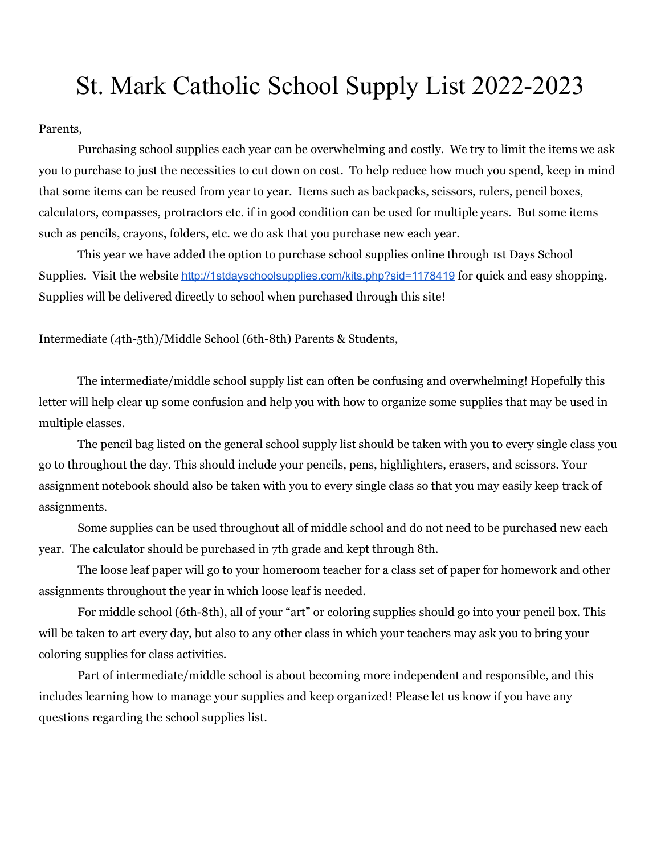## St. Mark Catholic School Supply List 2022-2023

Parents,

Purchasing school supplies each year can be overwhelming and costly. We try to limit the items we ask you to purchase to just the necessities to cut down on cost. To help reduce how much you spend, keep in mind that some items can be reused from year to year. Items such as backpacks, scissors, rulers, pencil boxes, calculators, compasses, protractors etc. if in good condition can be used for multiple years. But some items such as pencils, crayons, folders, etc. we do ask that you purchase new each year.

This year we have added the option to purchase school supplies online through 1st Days School Supplies. Visit the website <http://1stdayschoolsupplies.com/kits.php?sid=1178419> for quick and easy shopping. Supplies will be delivered directly to school when purchased through this site!

Intermediate (4th-5th)/Middle School (6th-8th) Parents & Students,

The intermediate/middle school supply list can often be confusing and overwhelming! Hopefully this letter will help clear up some confusion and help you with how to organize some supplies that may be used in multiple classes.

The pencil bag listed on the general school supply list should be taken with you to every single class you go to throughout the day. This should include your pencils, pens, highlighters, erasers, and scissors. Your assignment notebook should also be taken with you to every single class so that you may easily keep track of assignments.

Some supplies can be used throughout all of middle school and do not need to be purchased new each year. The calculator should be purchased in 7th grade and kept through 8th.

The loose leaf paper will go to your homeroom teacher for a class set of paper for homework and other assignments throughout the year in which loose leaf is needed.

For middle school (6th-8th), all of your "art" or coloring supplies should go into your pencil box. This will be taken to art every day, but also to any other class in which your teachers may ask you to bring your coloring supplies for class activities.

Part of intermediate/middle school is about becoming more independent and responsible, and this includes learning how to manage your supplies and keep organized! Please let us know if you have any questions regarding the school supplies list.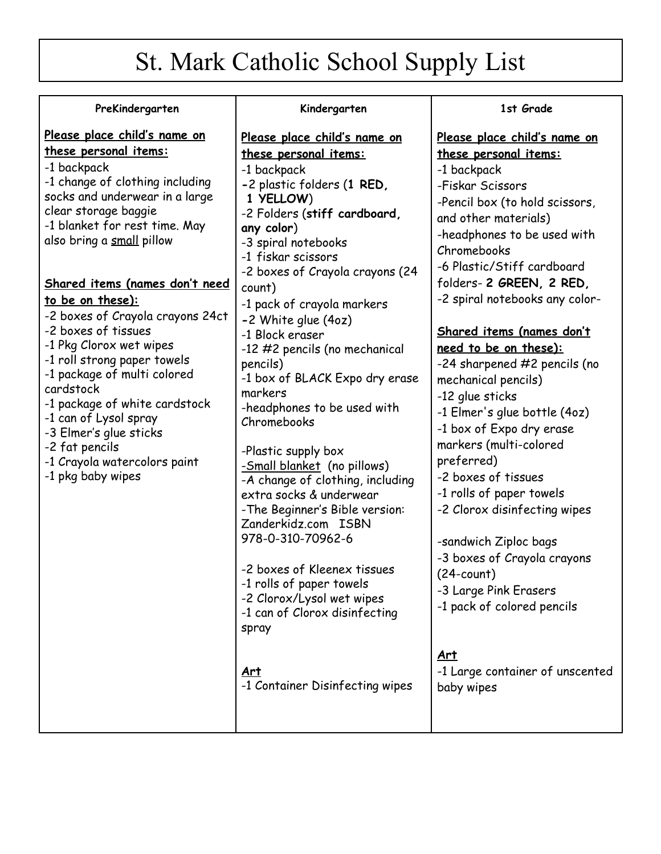# St. Mark Catholic School Supply List

**Kindergarten**

#### **PreKindergarten**

### **Please place child's name on these personal items:**

-1 backpack -1 change of clothing including socks and underwear in a large clear storage baggie -1 blanket for rest time. May also bring a small pillow

#### **Shared items (names don't need to be on these):**

-2 boxes of Crayola crayons 24ct -2 boxes of tissues -1 Pkg Clorox wet wipes -1 roll strong paper towels -1 package of multi colored cardstock -1 package of white cardstock -1 can of Lysol spray -3 Elmer's glue sticks -2 fat pencils -1 Crayola watercolors paint -1 pkg baby wipes

## **Please place child's name on these personal items:** -1 backpack **-**2 plastic folders (**1 RED, 1 YELLOW**) -2 Folders (**stiff cardboard, any color**) -3 spiral notebooks -1 fiskar scissors -2 boxes of Crayola crayons (24 count) -1 pack of crayola markers **-**2 White glue (4oz) -1 Block eraser -12 #2 pencils (no mechanical pencils) -1 box of BLACK Expo dry erase markers -headphones to be used with Chromebooks -Plastic supply box -Small blanket (no pillows) -A change of clothing, including extra socks & underwear -The Beginner's Bible version: Zanderkidz.com ISBN 978-0-310-70962-6 -2 boxes of Kleenex tissues -1 rolls of paper towels -2 Clorox/Lysol wet wipes -1 can of Clorox disinfecting

spray

**Art** -1 Container Disinfecting wipes

#### **1st Grade**

**Please place child's name on these personal items:** -1 backpack -Fiskar Scissors -Pencil box (to hold scissors, and other materials) -headphones to be used with Chromebooks -6 Plastic/Stiff cardboard folders- **2 GREEN, 2 RED,** -2 spiral notebooks any color-

## **Shared items (names don't need to be on these):**

-24 sharpened #2 pencils (no mechanical pencils) -12 glue sticks -1 Elmer's glue bottle (4oz) -1 box of Expo dry erase markers (multi-colored preferred) -2 boxes of tissues -1 rolls of paper towels -2 Clorox disinfecting wipes -sandwich Ziploc bags -3 boxes of Crayola crayons (24-count) -3 Large Pink Erasers -1 pack of colored pencils **Art** -1 Large container of unscented

baby wipes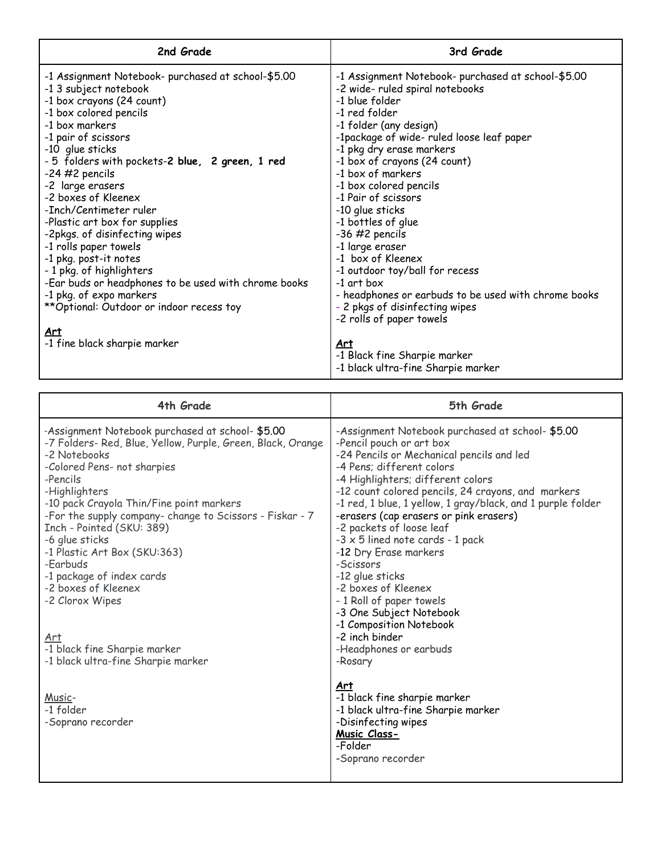| 2nd Grade                                                                                                                                                                                                                                                                                                                                                                                                                                                                                                                                                                                                                                | 3rd Grade                                                                                                                                                                                                                                                                                                                                                                                                                                                                                                                                                                                                    |
|------------------------------------------------------------------------------------------------------------------------------------------------------------------------------------------------------------------------------------------------------------------------------------------------------------------------------------------------------------------------------------------------------------------------------------------------------------------------------------------------------------------------------------------------------------------------------------------------------------------------------------------|--------------------------------------------------------------------------------------------------------------------------------------------------------------------------------------------------------------------------------------------------------------------------------------------------------------------------------------------------------------------------------------------------------------------------------------------------------------------------------------------------------------------------------------------------------------------------------------------------------------|
| -1 Assignment Notebook- purchased at school-\$5.00<br>-1 3 subject notebook<br>-1 box crayons (24 count)<br>-1 box colored pencils<br>-1 box markers<br>-1 pair of scissors<br>-10 glue sticks<br>- 5 folders with pockets-2 blue, 2 green, 1 red<br>$-24$ #2 pencils<br>-2 large erasers<br>-2 boxes of Kleenex<br>-Inch/Centimeter ruler<br>-Plastic art box for supplies<br>-2pkgs. of disinfecting wipes<br>-1 rolls paper towels<br>-1 pkg. post-it notes<br>- 1 pkg. of highlighters<br>-Ear buds or headphones to be used with chrome books<br>-1 pkg. of expo markers<br>** Optional: Outdoor or indoor recess toy<br><u>Art</u> | -1 Assignment Notebook- purchased at school-\$5.00<br>-2 wide- ruled spiral notebooks<br>-1 blue folder<br>-1 red folder<br>-1 folder (any design)<br>-1package of wide- ruled loose leaf paper<br>-1 pkg dry erase markers<br>-1 box of crayons (24 count)<br>-1 box of markers<br>-1 box colored pencils<br>-1 Pair of scissors<br>-10 glue sticks<br>-1 bottles of glue<br>$-36$ #2 pencils<br>-1 large eraser<br>-1 box of Kleenex<br>-1 outdoor toy/ball for recess<br>-1 art box<br>- headphones or earbuds to be used with chrome books<br>- 2 pkgs of disinfecting wipes<br>-2 rolls of paper towels |
| -1 fine black sharpie marker                                                                                                                                                                                                                                                                                                                                                                                                                                                                                                                                                                                                             | <u>Art</u><br>-1 Black fine Sharpie marker<br>-1 black ultra-fine Sharpie marker                                                                                                                                                                                                                                                                                                                                                                                                                                                                                                                             |

| 4th Grade                                                                                                                                                                                                                                                                                                                                                                                                                                                                                                                                          | 5th Grade                                                                                                                                                                                                                                                                                                                                                                                                                                                                                                                                                                                                                                                   |
|----------------------------------------------------------------------------------------------------------------------------------------------------------------------------------------------------------------------------------------------------------------------------------------------------------------------------------------------------------------------------------------------------------------------------------------------------------------------------------------------------------------------------------------------------|-------------------------------------------------------------------------------------------------------------------------------------------------------------------------------------------------------------------------------------------------------------------------------------------------------------------------------------------------------------------------------------------------------------------------------------------------------------------------------------------------------------------------------------------------------------------------------------------------------------------------------------------------------------|
| -Assignment Notebook purchased at school- \$5.00<br>-7 Folders- Red, Blue, Yellow, Purple, Green, Black, Orange<br>-2 Notebooks<br>-Colored Pens- not sharpies<br>-Pencils<br>-Highlighters<br>-10 pack Crayola Thin/Fine point markers<br>-For the supply company- change to Scissors - Fiskar - 7<br>Inch - Pointed (SKU: 389)<br>-6 glue sticks<br>-1 Plastic Art Box (SKU:363)<br>-Earbuds<br>-1 package of index cards<br>-2 boxes of Kleenex<br>-2 Clorox Wipes<br>Art<br>-1 black fine Sharpie marker<br>-1 black ultra-fine Sharpie marker | -Assignment Notebook purchased at school- \$5.00<br>-Pencil pouch or art box<br>-24 Pencils or Mechanical pencils and led<br>-4 Pens; different colors<br>-4 Highlighters; different colors<br>-12 count colored pencils, 24 crayons, and markers<br>-1 red, 1 blue, 1 yellow, 1 gray/black, and 1 purple folder<br>-erasers (cap erasers or pink erasers)<br>-2 packets of loose leaf<br>$-3 \times 5$ lined note cards $-1$ pack<br>-12 Dry Erase markers<br>-Scissors<br>-12 glue sticks<br>-2 boxes of Kleenex<br>- 1 Roll of paper towels<br>-3 One Subject Notebook<br>-1 Composition Notebook<br>-2 inch binder<br>-Headphones or earbuds<br>-Rosary |
| Music-<br>-1 folder<br>-Soprano recorder                                                                                                                                                                                                                                                                                                                                                                                                                                                                                                           | Art<br>-1 black fine sharpie marker<br>-1 black ultra-fine Sharpie marker<br>-Disinfecting wipes<br>Music Class-<br>-Folder<br>-Soprano recorder                                                                                                                                                                                                                                                                                                                                                                                                                                                                                                            |